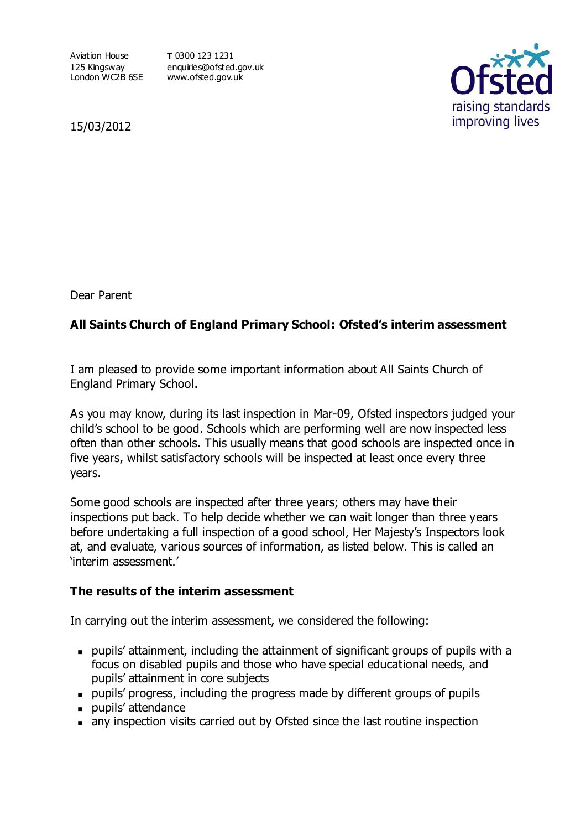Aviation House 125 Kingsway London WC2B 6SE www.ofsted.gov.uk

**T** 0300 123 1231 enquiries@ofsted.gov.uk



15/03/2012

Dear Parent

## **All Saints Church of England Primary School: Ofsted's interim assessment**

I am pleased to provide some important information about All Saints Church of England Primary School.

As you may know, during its last inspection in Mar-09, Ofsted inspectors judged your child's school to be good. Schools which are performing well are now inspected less often than other schools. This usually means that good schools are inspected once in five years, whilst satisfactory schools will be inspected at least once every three years.

Some good schools are inspected after three years; others may have their inspections put back. To help decide whether we can wait longer than three years before undertaking a full inspection of a good school, Her Majesty's Inspectors look at, and evaluate, various sources of information, as listed below. This is called an 'interim assessment.'

## **The results of the interim assessment**

In carrying out the interim assessment, we considered the following:

- pupils' attainment, including the attainment of significant groups of pupils with a focus on disabled pupils and those who have special educational needs, and pupils' attainment in core subjects
- pupils' progress, including the progress made by different groups of pupils
- **pupils'** attendance
- any inspection visits carried out by Ofsted since the last routine inspection